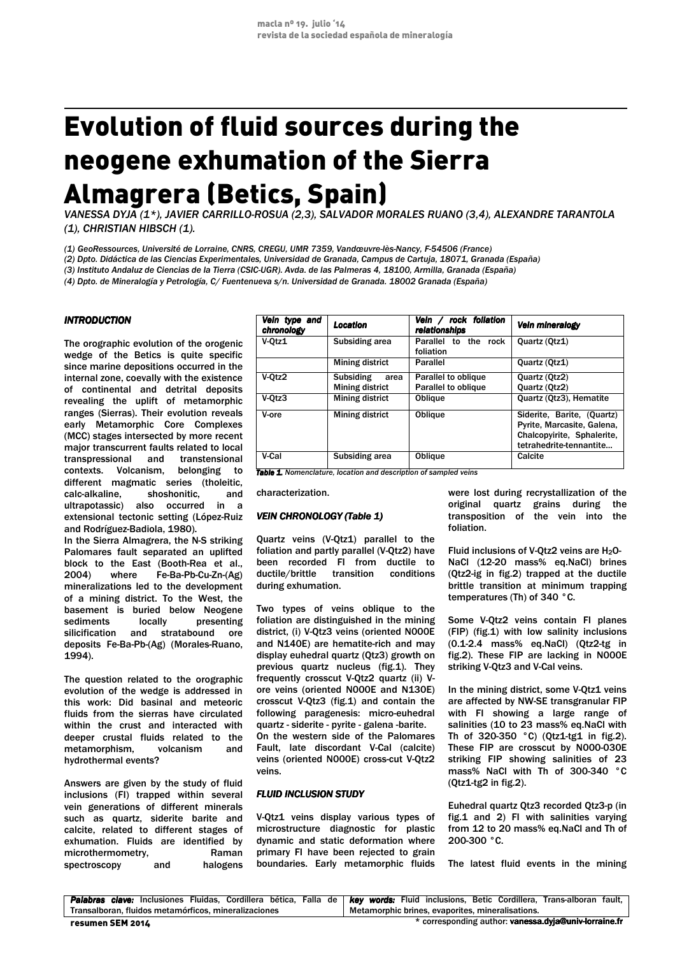# Evolution of fluid sources during the neogene exhumation of the Sierra Almagrera (Betics, Spain)

*VANESSA DYJA (1\*), JAVIER CARRILLO-ROSUA (2,3), SALVADOR MORALES RUANO (3,4), ALEXANDRE TARANTOLA (1), CHRISTIAN HIBSCH (1).* 

*(1) GeoRessources, Université de Lorraine, CNRS, CREGU, UMR 7359, Vandœuvre-lès-Nancy, F-54506 (France)*

*(2) Dpto. Didáctica de las Ciencias Experimentales, Universidad de Granada, Campus de Cartuja, 18071, Granada (España)* 

*(3) Instituto Andaluz de Ciencias de la Tierra (CSIC-UGR). Avda. de las Palmeras 4, 18100, Armilla, Granada (España)* 

*o (4) Dpto. de Mineralogía y Petrología, C/ Fuentenueva s/n. Universidad de Granada. 18002 Granada (España)* 

## *INTRODUCTION*

The orographic evolution of the orogenic wedge of the Betics is quite specific since marine depositions occurred in the internal zone, coevally with the existence of continental and detrital deposits revealing the uplift of metamorphic ranges (Sierras). Their evolution reveals early Metamorphic Core Complexes (MCC) stages intersected by more recent major transcurrent faults related to local transpressional and transtensional contexts. Volcanism, belonging to different magmatic series (tholeitic, calc-alkaline, shoshonitic, and ultrapotassic) also occurred in a extensional tectonic setting (López-Ruiz and Rodríguez-Badiola, 1980).

In the Sierra Almagrera, the N-S striking Palomares fault separated an uplifted block to the East (Booth-Rea et al., 2004) where Fe-Ba-Pb-Cu-Zn-(Ag) mineralizations led to the development of a mining district. To the West, the basement is buried below Neogene sediments locally presenting silicification and stratabound ore deposits Fe-Ba-Pb-(Ag) (Morales-Ruano, 1994).

The question related to the orographic evolution of the wedge is addressed in this work: Did basinal and meteoric fluids from the sierras have circulated within the crust and interacted with deeper crustal fluids related to the metamorphism, volcanism and hydrothermal events?

Answers are given by the study of fluid inclusions (FI) trapped within several vein generations of different minerals such as quartz, siderite barite and calcite, related to different stages of exhumation. Fluids are identified by microthermometry, Raman spectroscopy and halogens

| Vein type and<br>chronology                                             | Location                 | rock foliation<br>Vein $\sqrt{}$<br>relationships | Vein mineralogy                                                                                                   |  |
|-------------------------------------------------------------------------|--------------------------|---------------------------------------------------|-------------------------------------------------------------------------------------------------------------------|--|
| V-Otz1                                                                  | Subsiding area           | Parallel to<br>the<br>rock<br>foliation           | Quartz (Qtz1)                                                                                                     |  |
|                                                                         | Mining district          | Parallel                                          | Quartz (Qtz1)                                                                                                     |  |
| V-Otz2                                                                  | <b>Subsiding</b><br>area | Parallel to oblique                               | Quartz (Qtz2)                                                                                                     |  |
|                                                                         | Mining district          | Parallel to oblique                               | Quartz (Qtz2)                                                                                                     |  |
| $V-Orz3$                                                                | Mining district          | <b>Oblique</b>                                    | Quartz (Qtz3), Hematite                                                                                           |  |
| V-ore                                                                   | Mining district          | Oblique                                           | Siderite, Barite, (Quartz)<br>Pyrite, Marcasite, Galena,<br>Chalcopyirite, Sphalerite,<br>tetrahedrite-tennantite |  |
| V-Cal                                                                   | Subsiding area           | Oblique                                           | Calcite                                                                                                           |  |
| <b>Table 1.</b> Nomenclature, location and description of sampled veins |                          |                                                   |                                                                                                                   |  |

characterization.

#### **VEIN CHRONOLOGY (Table 1)**

Quartz veins (V-Qtz1) parallel to the foliation and partly parallel (V-Qtz2) have been recorded FI from ductile to ductile/brittle transition conditions during exhumation.

Two types of veins oblique to the foliation are distinguished in the mining district, (i) V-Qtz3 veins (oriented N000E and N140E) are hematite-rich and may display euhedral quartz (Qtz3) growth on previous quartz nucleus (fig.1). They frequently crosscut V-Qtz2 quartz (ii) Vore veins (oriented N000E and N130E) crosscut V-Qtz3 (fig.1) and contain the following paragenesis: micro-euhedral quartz - siderite - pyrite - galena -barite. On the western side of the Palomares Fault, late discordant V-Cal (calcite) veins (oriented N000E) cross-cut V-Qtz2 veins.

#### *FLUID INCLUSION STUDY*

V-Qtz1 veins display various types of microstructure diagnostic for plastic dynamic and static deformation where primary FI have been rejected to grain boundaries. Early metamorphic fluids were lost during recrystallization of the original quartz grains during the transposition of the vein into the foliation.

Fluid inclusions of V-Qtz2 veins are H<sub>2</sub>O-NaCl (12-20 mass% eq.NaCl) brines (Qtz2-ig in fig.2) trapped at the ductile brittle transition at minimum trapping temperatures (Th) of 340 °C.

Some V-Qtz2 veins contain FI planes (FIP) (fig.1) with low salinity inclusions (0.1-2.4 mass% eq.NaCl) (Qtz2-tg in fig.2). These FIP are lacking in N000E striking V-Qtz3 and V-Cal veins.

In the mining district, some V-Qtz1 veins are affected by NW-SE transgranular FIP with FI showing a large range of salinities (10 to 23 mass% eq.NaCl with Th of  $320-350$  °C) (Qtz1-tg1 in fig.2). These FIP are crosscut by N000-030E striking FIP showing salinities of 23 mass% NaCl with Th of 300-340 °C (Qtz1-tg2 in fig.2).

Euhedral quartz Qtz3 recorded Qtz3-p (in fig.1 and 2) FI with salinities varying from 12 to 20 mass% eq.NaCl and Th of 200-300 °C.

The latest fluid events in the mining

|                                                      | Palabras clave: Inclusiones Fluidas, Cordillera bética, Falla de   key words: Fluid inclusions, Betic Cordillera, Trans-alboran fault, |  |  |
|------------------------------------------------------|----------------------------------------------------------------------------------------------------------------------------------------|--|--|
| Transalboran, fluidos metamórficos, mineralizaciones | Metamorphic brines, evaporites, mineralisations,                                                                                       |  |  |
| resumen SEM 2014                                     | * corresponding author: vanessa.dyja@univ-lorraine.fr                                                                                  |  |  |